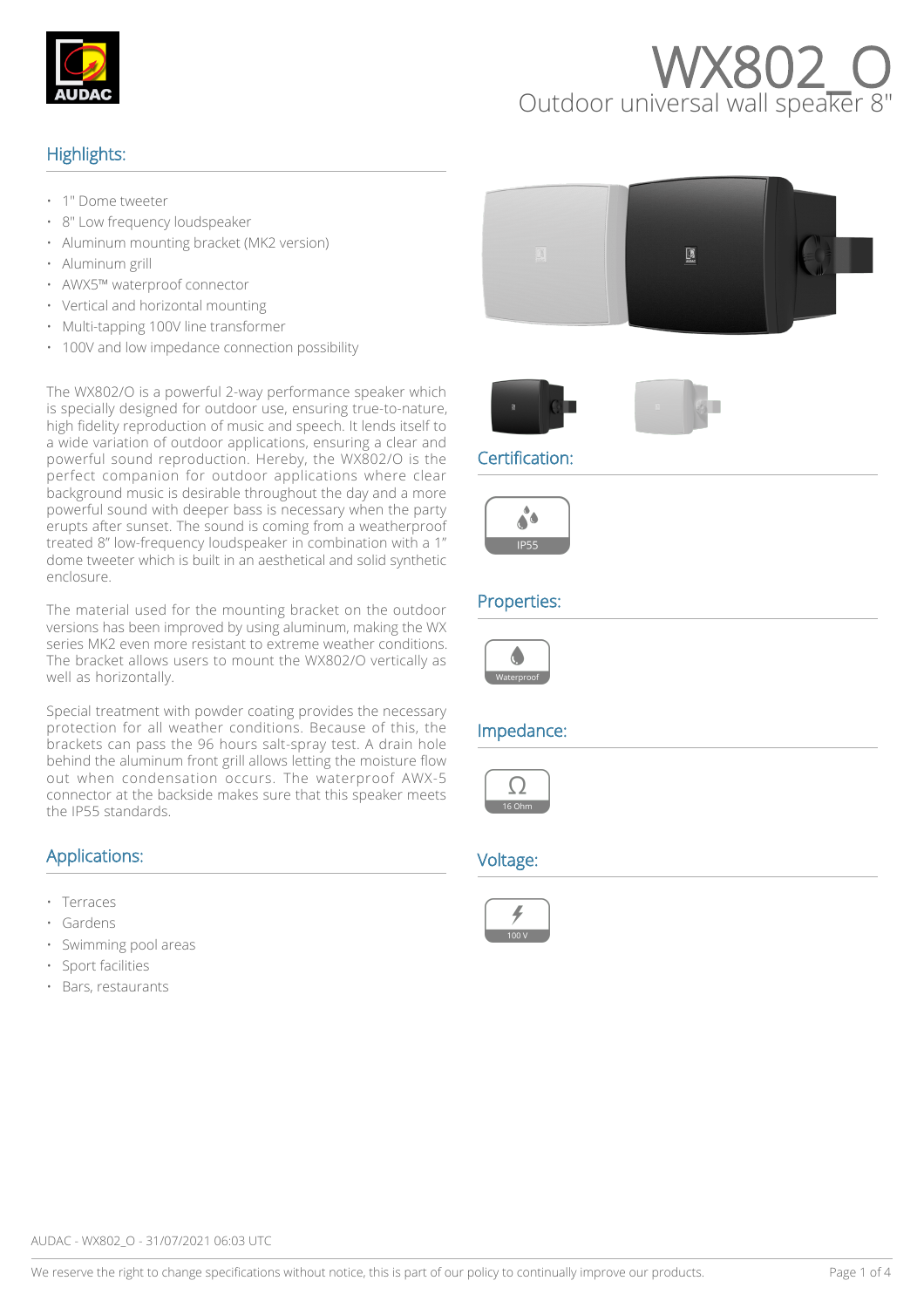

# **WX802**

## Highlights:

- 1" Dome tweeter
- 8" Low frequency loudspeaker
- Aluminum mounting bracket (MK2 version)
- Aluminum grill
- AWX5™ waterproof connector
- Vertical and horizontal mounting
- Multi-tapping 100V line transformer
- 100V and low impedance connection possibility

The WX802/O is a powerful 2-way performance speaker which is specially designed for outdoor use, ensuring true-to-nature, high fidelity reproduction of music and speech. It lends itself to a wide variation of outdoor applications, ensuring a clear and powerful sound reproduction. Hereby, the WX802/O is the perfect companion for outdoor applications where clear background music is desirable throughout the day and a more powerful sound with deeper bass is necessary when the party erupts after sunset. The sound is coming from a weatherproof treated 8" low-frequency loudspeaker in combination with a 1" dome tweeter which is built in an aesthetical and solid synthetic enclosure.

The material used for the mounting bracket on the outdoor versions has been improved by using aluminum, making the WX series MK2 even more resistant to extreme weather conditions. The bracket allows users to mount the WX802/O vertically as well as horizontally.

Special treatment with powder coating provides the necessary protection for all weather conditions. Because of this, the brackets can pass the 96 hours salt-spray test. A drain hole behind the aluminum front grill allows letting the moisture flow out when condensation occurs. The waterproof AWX-5 connector at the backside makes sure that this speaker meets the IP55 standards.

## Applications:

- Terraces
- **Gardens**
- Swimming pool areas
- Sport facilities
- Bars, restaurants







#### Certification:



#### Properties:



## Impedance:



#### Voltage:

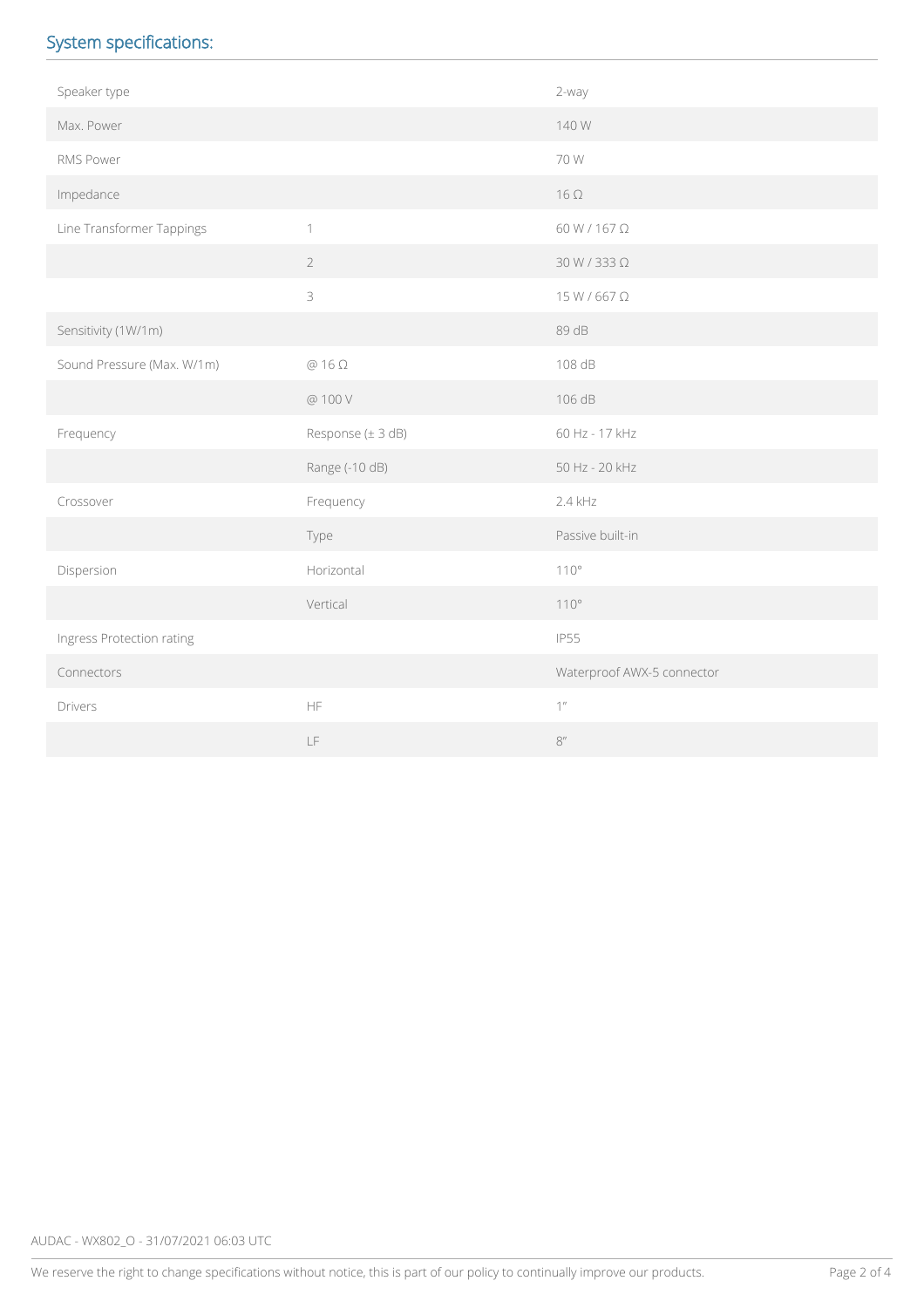# System specifications:

| Speaker type               |                                                                                             | 2-way                      |  |
|----------------------------|---------------------------------------------------------------------------------------------|----------------------------|--|
| Max. Power                 |                                                                                             | 140 W                      |  |
| RMS Power                  |                                                                                             | 70 W                       |  |
| Impedance                  |                                                                                             | $16 \Omega$                |  |
| Line Transformer Tappings  | $\mathbf{1}$                                                                                | 60 W / 167 Ω               |  |
|                            | $\overline{2}$                                                                              | $30 W/333 \Omega$          |  |
|                            | $\mathfrak{Z}$                                                                              | 15 W / 667 Ω               |  |
| Sensitivity (1W/1m)        |                                                                                             | 89 dB                      |  |
| Sound Pressure (Max. W/1m) | $@16\Omega$                                                                                 | 108 dB                     |  |
|                            | @ 100 V                                                                                     | 106 dB                     |  |
| Frequency                  | Response (± 3 dB)                                                                           | 60 Hz - 17 kHz             |  |
|                            | Range (-10 dB)                                                                              | 50 Hz - 20 kHz             |  |
| Crossover                  | Frequency                                                                                   | 2.4 kHz                    |  |
|                            | Type                                                                                        | Passive built-in           |  |
| Dispersion                 | Horizontal                                                                                  | 110°                       |  |
|                            | Vertical                                                                                    | $110^{\circ}$              |  |
| Ingress Protection rating  |                                                                                             | <b>IP55</b>                |  |
| Connectors                 |                                                                                             | Waterproof AWX-5 connector |  |
| Drivers                    | $\mathsf{HF}% _{\mathsf{F}}$                                                                | $1$ $^{\prime\prime}$      |  |
|                            | $\mathsf{LF}% _{0}\left( \mathcal{N}\right) \equiv\mathsf{LF}_{0}\left( \mathcal{N}\right)$ | $8^{\prime\prime}$         |  |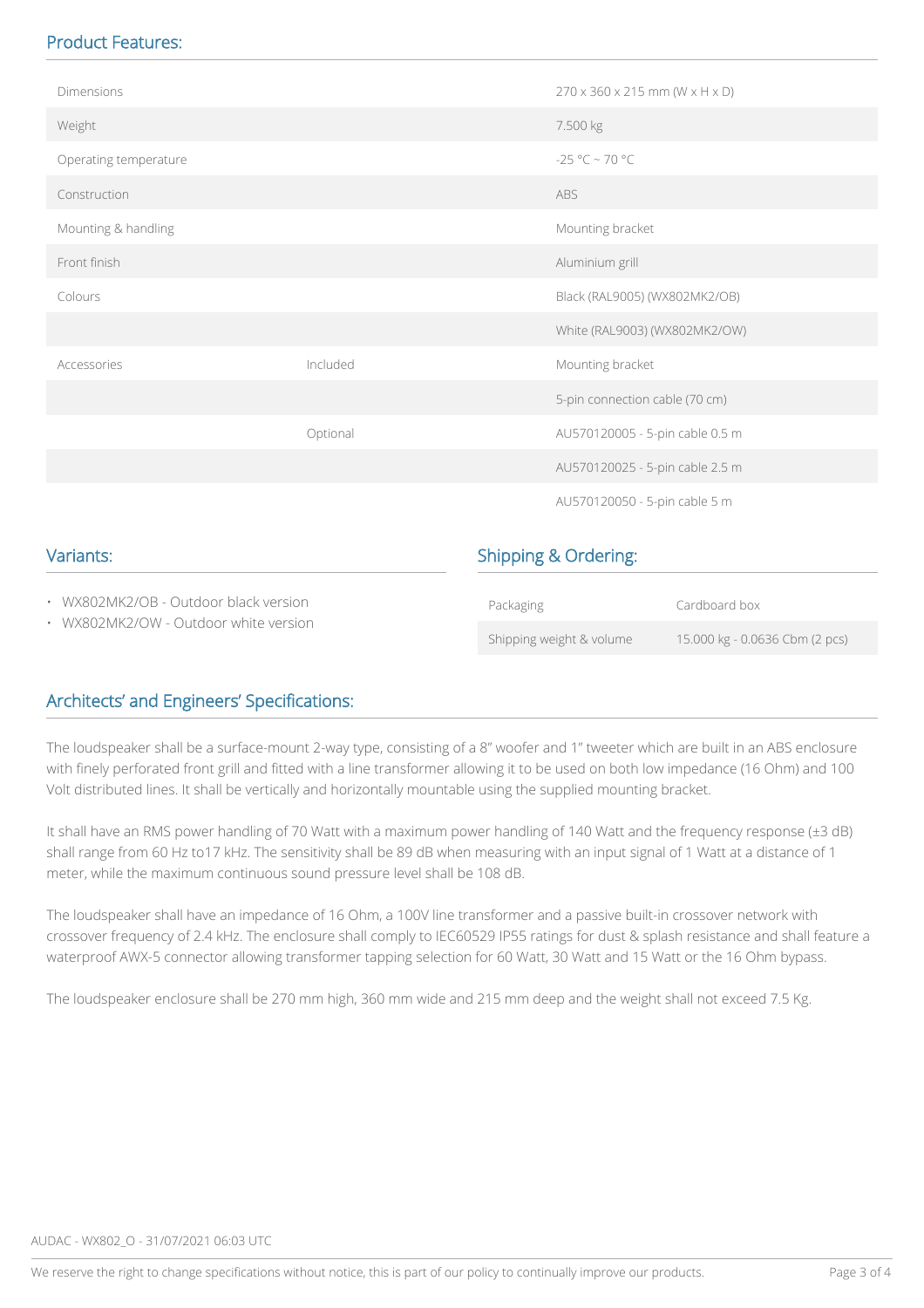# Product Features:

| • WX802MK2/OW - Outdoor white version       |          | Shipping weight & volume        | 15.000 kg - 0.0636 Cbm (2 pcs)                           |  |  |
|---------------------------------------------|----------|---------------------------------|----------------------------------------------------------|--|--|
| • WX802MK2/OB - Outdoor black version       |          | Packaging                       | Cardboard box                                            |  |  |
| Variants:                                   |          | <b>Shipping &amp; Ordering:</b> |                                                          |  |  |
|                                             |          |                                 | AU570120050 - 5-pin cable 5 m                            |  |  |
| Optional<br>AU570120005 - 5-pin cable 0.5 m |          |                                 | AU570120025 - 5-pin cable 2.5 m                          |  |  |
|                                             |          |                                 |                                                          |  |  |
|                                             |          | 5-pin connection cable (70 cm)  |                                                          |  |  |
| Accessories                                 | Included |                                 | Mounting bracket                                         |  |  |
|                                             |          |                                 | White (RAL9003) (WX802MK2/OW)                            |  |  |
| Colours                                     |          |                                 | Black (RAL9005) (WX802MK2/OB)                            |  |  |
| Front finish                                |          | Aluminium grill                 |                                                          |  |  |
| Mounting & handling                         |          |                                 | Mounting bracket                                         |  |  |
| Construction                                |          | ABS                             |                                                          |  |  |
| Operating temperature                       |          | -25 °C ~ 70 °C                  |                                                          |  |  |
| Weight                                      |          | 7.500 kg                        |                                                          |  |  |
| Dimensions                                  |          |                                 | $270 \times 360 \times 215$ mm (W $\times$ H $\times$ D) |  |  |
|                                             |          |                                 |                                                          |  |  |

# Architects' and Engineers' Specifications:

The loudspeaker shall be a surface-mount 2-way type, consisting of a 8" woofer and 1" tweeter which are built in an ABS enclosure with finely perforated front grill and fitted with a line transformer allowing it to be used on both low impedance (16 Ohm) and 100 Volt distributed lines. It shall be vertically and horizontally mountable using the supplied mounting bracket.

It shall have an RMS power handling of 70 Watt with a maximum power handling of 140 Watt and the frequency response (±3 dB) shall range from 60 Hz to17 kHz. The sensitivity shall be 89 dB when measuring with an input signal of 1 Watt at a distance of 1 meter, while the maximum continuous sound pressure level shall be 108 dB.

The loudspeaker shall have an impedance of 16 Ohm, a 100V line transformer and a passive built-in crossover network with crossover frequency of 2.4 kHz. The enclosure shall comply to IEC60529 IP55 ratings for dust & splash resistance and shall feature a waterproof AWX-5 connector allowing transformer tapping selection for 60 Watt, 30 Watt and 15 Watt or the 16 Ohm bypass.

The loudspeaker enclosure shall be 270 mm high, 360 mm wide and 215 mm deep and the weight shall not exceed 7.5 Kg.